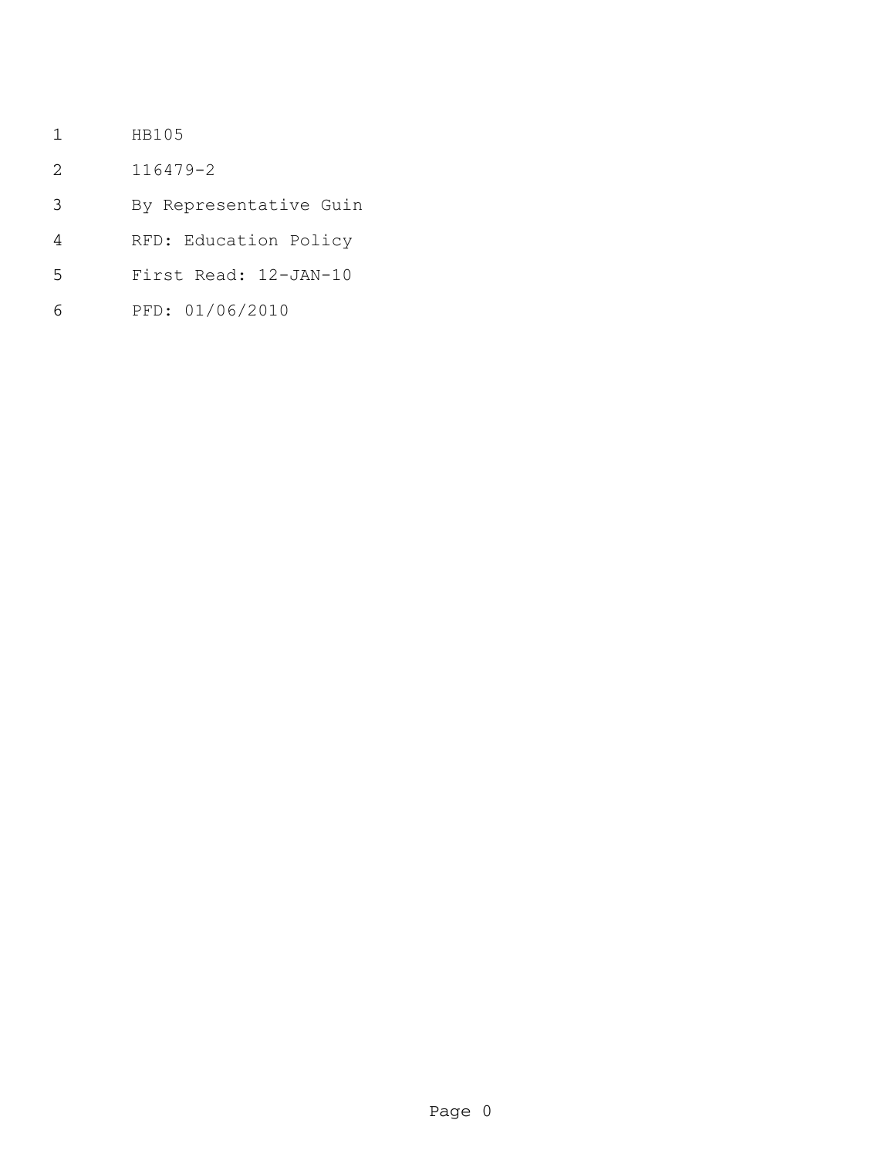- HB105
- 116479-2
- By Representative Guin
- RFD: Education Policy
- First Read: 12-JAN-10
- PFD: 01/06/2010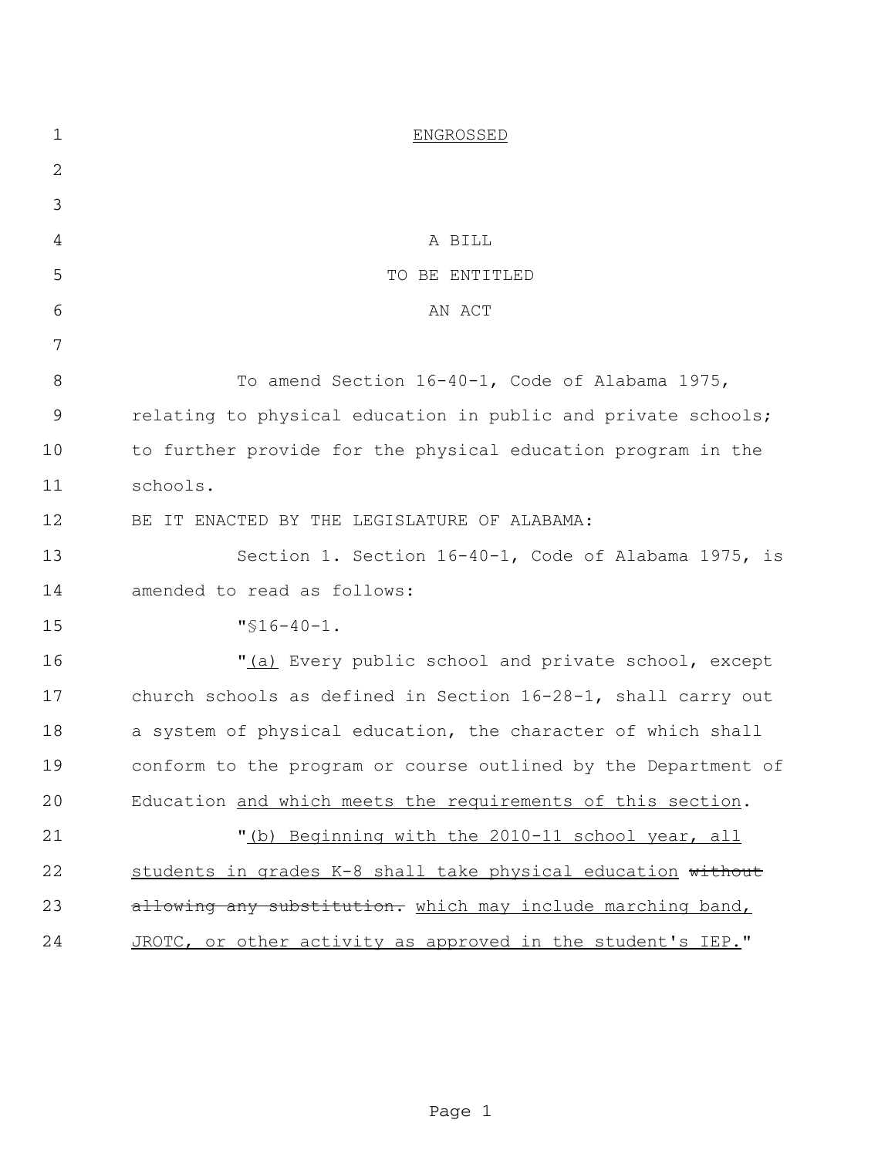| $\mathbf 1$ | <b>ENGROSSED</b>                                               |
|-------------|----------------------------------------------------------------|
| 2           |                                                                |
| 3           |                                                                |
| 4           | A BILL                                                         |
| 5           | TO BE ENTITLED                                                 |
| 6           | AN ACT                                                         |
| 7           |                                                                |
| 8           | To amend Section 16-40-1, Code of Alabama 1975,                |
| $\mathsf 9$ | relating to physical education in public and private schools;  |
| 10          | to further provide for the physical education program in the   |
| 11          | schools.                                                       |
| 12          | BE IT ENACTED BY THE LEGISLATURE OF ALABAMA:                   |
| 13          | Section 1. Section 16-40-1, Code of Alabama 1975, is           |
| 14          | amended to read as follows:                                    |
| 15          | $"516-40-1.$                                                   |
| 16          | "(a) Every public school and private school, except            |
| 17          | church schools as defined in Section 16-28-1, shall carry out  |
| 18          | a system of physical education, the character of which shall   |
| 19          | conform to the program or course outlined by the Department of |
| 20          | Education and which meets the requirements of this section.    |
| 21          | "(b) Beginning with the 2010-11 school year, all               |
| 22          | students in grades K-8 shall take physical education without   |
| 23          | allowing any substitution. which may include marching band,    |
| 24          | JROTC, or other activity as approved in the student's IEP."    |

Page 1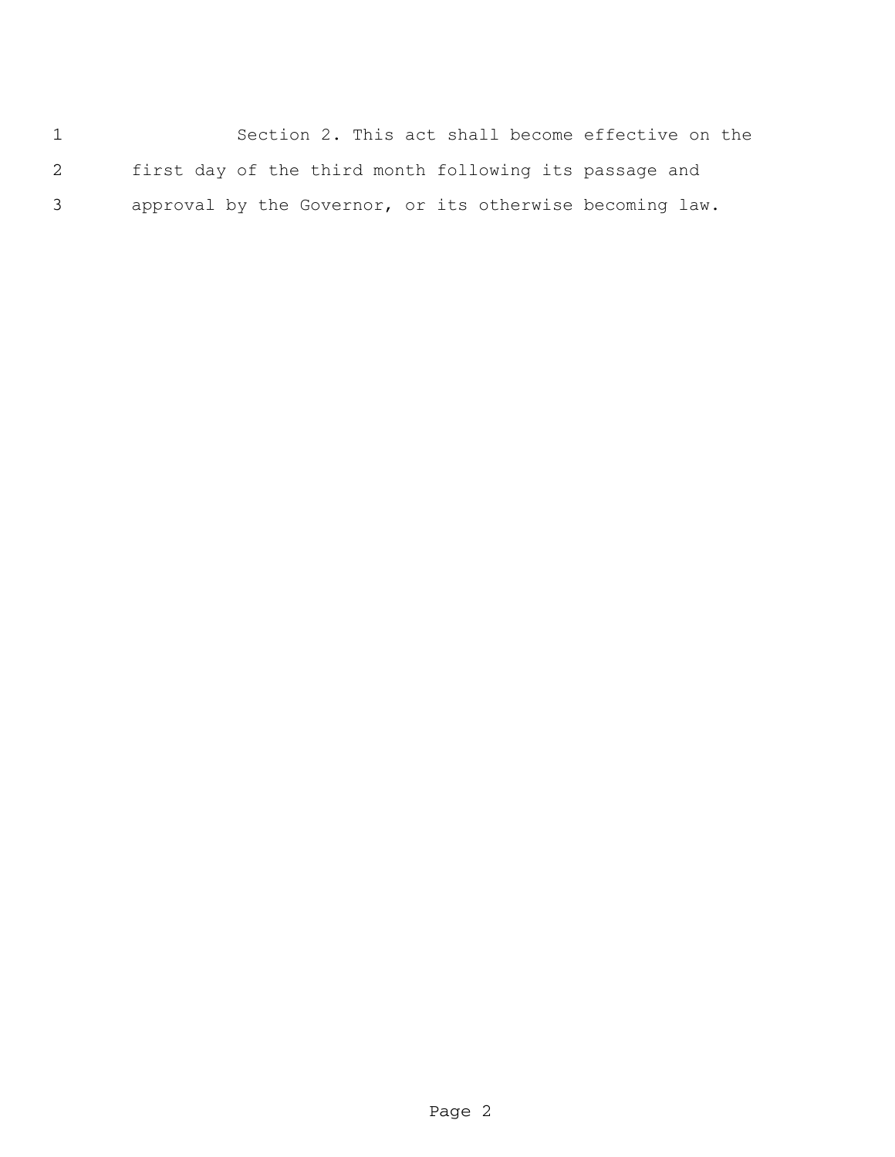Section 2. This act shall become effective on the first day of the third month following its passage and approval by the Governor, or its otherwise becoming law.